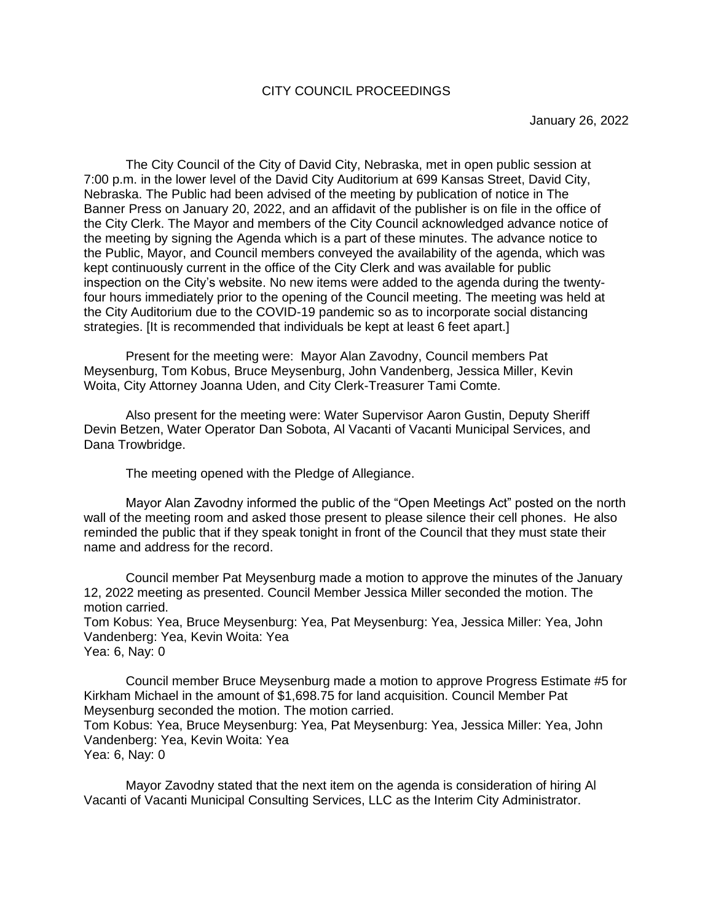## CITY COUNCIL PROCEEDINGS

The City Council of the City of David City, Nebraska, met in open public session at 7:00 p.m. in the lower level of the David City Auditorium at 699 Kansas Street, David City, Nebraska. The Public had been advised of the meeting by publication of notice in The Banner Press on January 20, 2022, and an affidavit of the publisher is on file in the office of the City Clerk. The Mayor and members of the City Council acknowledged advance notice of the meeting by signing the Agenda which is a part of these minutes. The advance notice to the Public, Mayor, and Council members conveyed the availability of the agenda, which was kept continuously current in the office of the City Clerk and was available for public inspection on the City's website. No new items were added to the agenda during the twentyfour hours immediately prior to the opening of the Council meeting. The meeting was held at the City Auditorium due to the COVID-19 pandemic so as to incorporate social distancing strategies. [It is recommended that individuals be kept at least 6 feet apart.]

Present for the meeting were: Mayor Alan Zavodny, Council members Pat Meysenburg, Tom Kobus, Bruce Meysenburg, John Vandenberg, Jessica Miller, Kevin Woita, City Attorney Joanna Uden, and City Clerk-Treasurer Tami Comte.

Also present for the meeting were: Water Supervisor Aaron Gustin, Deputy Sheriff Devin Betzen, Water Operator Dan Sobota, Al Vacanti of Vacanti Municipal Services, and Dana Trowbridge.

The meeting opened with the Pledge of Allegiance.

Mayor Alan Zavodny informed the public of the "Open Meetings Act" posted on the north wall of the meeting room and asked those present to please silence their cell phones. He also reminded the public that if they speak tonight in front of the Council that they must state their name and address for the record.

Council member Pat Meysenburg made a motion to approve the minutes of the January 12, 2022 meeting as presented. Council Member Jessica Miller seconded the motion. The motion carried.

Tom Kobus: Yea, Bruce Meysenburg: Yea, Pat Meysenburg: Yea, Jessica Miller: Yea, John Vandenberg: Yea, Kevin Woita: Yea Yea: 6, Nay: 0

Council member Bruce Meysenburg made a motion to approve Progress Estimate #5 for Kirkham Michael in the amount of \$1,698.75 for land acquisition. Council Member Pat Meysenburg seconded the motion. The motion carried.

Tom Kobus: Yea, Bruce Meysenburg: Yea, Pat Meysenburg: Yea, Jessica Miller: Yea, John Vandenberg: Yea, Kevin Woita: Yea

Yea: 6, Nay: 0

Mayor Zavodny stated that the next item on the agenda is consideration of hiring Al Vacanti of Vacanti Municipal Consulting Services, LLC as the Interim City Administrator.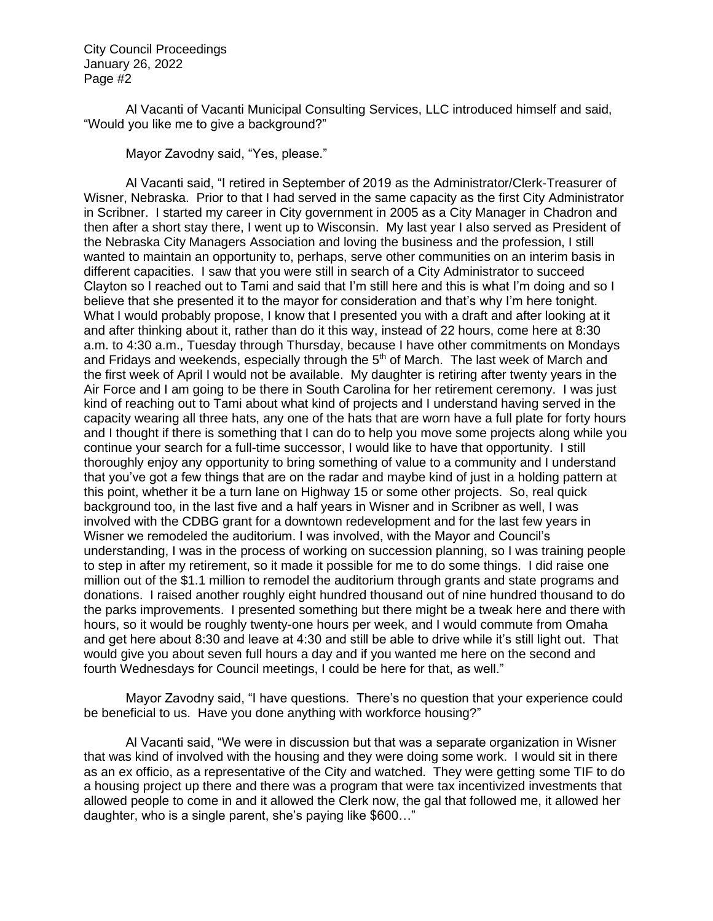Al Vacanti of Vacanti Municipal Consulting Services, LLC introduced himself and said, "Would you like me to give a background?"

Mayor Zavodny said, "Yes, please."

Al Vacanti said, "I retired in September of 2019 as the Administrator/Clerk-Treasurer of Wisner, Nebraska. Prior to that I had served in the same capacity as the first City Administrator in Scribner. I started my career in City government in 2005 as a City Manager in Chadron and then after a short stay there, I went up to Wisconsin. My last year I also served as President of the Nebraska City Managers Association and loving the business and the profession, I still wanted to maintain an opportunity to, perhaps, serve other communities on an interim basis in different capacities. I saw that you were still in search of a City Administrator to succeed Clayton so I reached out to Tami and said that I'm still here and this is what I'm doing and so I believe that she presented it to the mayor for consideration and that's why I'm here tonight. What I would probably propose, I know that I presented you with a draft and after looking at it and after thinking about it, rather than do it this way, instead of 22 hours, come here at 8:30 a.m. to 4:30 a.m., Tuesday through Thursday, because I have other commitments on Mondays and Fridays and weekends, especially through the 5<sup>th</sup> of March. The last week of March and the first week of April I would not be available. My daughter is retiring after twenty years in the Air Force and I am going to be there in South Carolina for her retirement ceremony. I was just kind of reaching out to Tami about what kind of projects and I understand having served in the capacity wearing all three hats, any one of the hats that are worn have a full plate for forty hours and I thought if there is something that I can do to help you move some projects along while you continue your search for a full-time successor, I would like to have that opportunity. I still thoroughly enjoy any opportunity to bring something of value to a community and I understand that you've got a few things that are on the radar and maybe kind of just in a holding pattern at this point, whether it be a turn lane on Highway 15 or some other projects. So, real quick background too, in the last five and a half years in Wisner and in Scribner as well, I was involved with the CDBG grant for a downtown redevelopment and for the last few years in Wisner we remodeled the auditorium. I was involved, with the Mayor and Council's understanding, I was in the process of working on succession planning, so I was training people to step in after my retirement, so it made it possible for me to do some things. I did raise one million out of the \$1.1 million to remodel the auditorium through grants and state programs and donations. I raised another roughly eight hundred thousand out of nine hundred thousand to do the parks improvements. I presented something but there might be a tweak here and there with hours, so it would be roughly twenty-one hours per week, and I would commute from Omaha and get here about 8:30 and leave at 4:30 and still be able to drive while it's still light out. That would give you about seven full hours a day and if you wanted me here on the second and fourth Wednesdays for Council meetings, I could be here for that, as well."

Mayor Zavodny said, "I have questions. There's no question that your experience could be beneficial to us. Have you done anything with workforce housing?"

Al Vacanti said, "We were in discussion but that was a separate organization in Wisner that was kind of involved with the housing and they were doing some work. I would sit in there as an ex officio, as a representative of the City and watched. They were getting some TIF to do a housing project up there and there was a program that were tax incentivized investments that allowed people to come in and it allowed the Clerk now, the gal that followed me, it allowed her daughter, who is a single parent, she's paying like \$600…"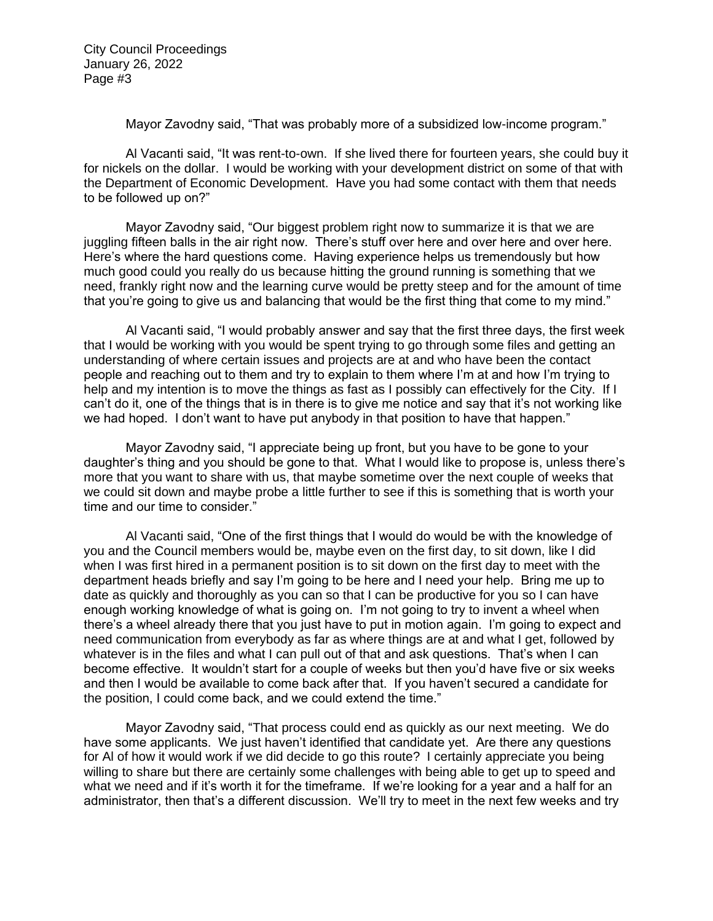Mayor Zavodny said, "That was probably more of a subsidized low-income program."

Al Vacanti said, "It was rent-to-own. If she lived there for fourteen years, she could buy it for nickels on the dollar. I would be working with your development district on some of that with the Department of Economic Development. Have you had some contact with them that needs to be followed up on?"

Mayor Zavodny said, "Our biggest problem right now to summarize it is that we are juggling fifteen balls in the air right now. There's stuff over here and over here and over here. Here's where the hard questions come. Having experience helps us tremendously but how much good could you really do us because hitting the ground running is something that we need, frankly right now and the learning curve would be pretty steep and for the amount of time that you're going to give us and balancing that would be the first thing that come to my mind."

Al Vacanti said, "I would probably answer and say that the first three days, the first week that I would be working with you would be spent trying to go through some files and getting an understanding of where certain issues and projects are at and who have been the contact people and reaching out to them and try to explain to them where I'm at and how I'm trying to help and my intention is to move the things as fast as I possibly can effectively for the City. If I can't do it, one of the things that is in there is to give me notice and say that it's not working like we had hoped. I don't want to have put anybody in that position to have that happen."

Mayor Zavodny said, "I appreciate being up front, but you have to be gone to your daughter's thing and you should be gone to that. What I would like to propose is, unless there's more that you want to share with us, that maybe sometime over the next couple of weeks that we could sit down and maybe probe a little further to see if this is something that is worth your time and our time to consider."

Al Vacanti said, "One of the first things that I would do would be with the knowledge of you and the Council members would be, maybe even on the first day, to sit down, like I did when I was first hired in a permanent position is to sit down on the first day to meet with the department heads briefly and say I'm going to be here and I need your help. Bring me up to date as quickly and thoroughly as you can so that I can be productive for you so I can have enough working knowledge of what is going on. I'm not going to try to invent a wheel when there's a wheel already there that you just have to put in motion again. I'm going to expect and need communication from everybody as far as where things are at and what I get, followed by whatever is in the files and what I can pull out of that and ask questions. That's when I can become effective. It wouldn't start for a couple of weeks but then you'd have five or six weeks and then I would be available to come back after that. If you haven't secured a candidate for the position, I could come back, and we could extend the time."

Mayor Zavodny said, "That process could end as quickly as our next meeting. We do have some applicants. We just haven't identified that candidate yet. Are there any questions for Al of how it would work if we did decide to go this route? I certainly appreciate you being willing to share but there are certainly some challenges with being able to get up to speed and what we need and if it's worth it for the timeframe. If we're looking for a year and a half for an administrator, then that's a different discussion. We'll try to meet in the next few weeks and try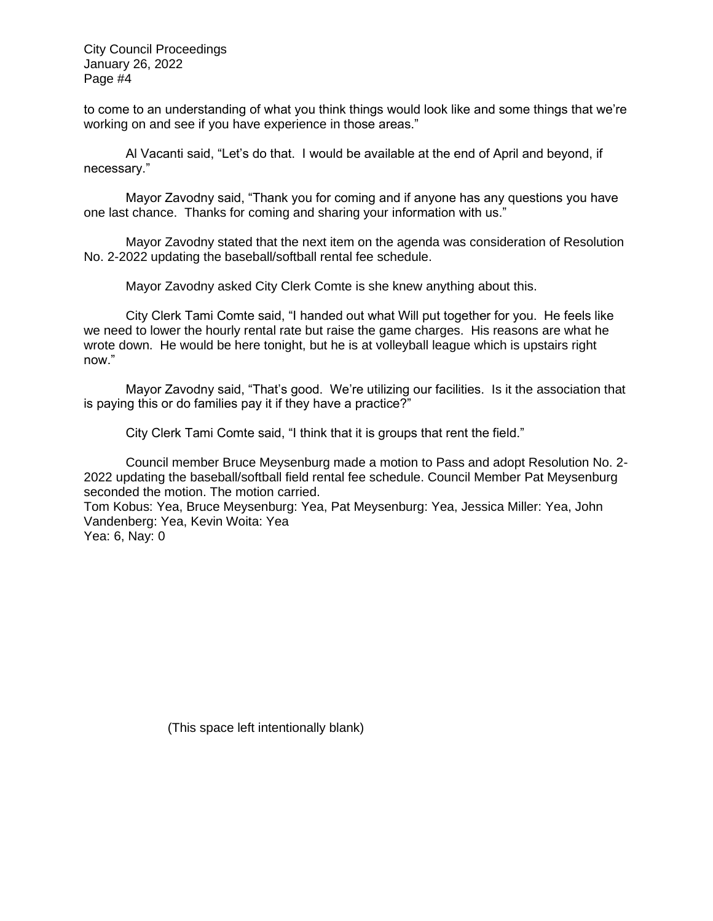to come to an understanding of what you think things would look like and some things that we're working on and see if you have experience in those areas."

Al Vacanti said, "Let's do that. I would be available at the end of April and beyond, if necessary."

Mayor Zavodny said, "Thank you for coming and if anyone has any questions you have one last chance. Thanks for coming and sharing your information with us."

Mayor Zavodny stated that the next item on the agenda was consideration of Resolution No. 2-2022 updating the baseball/softball rental fee schedule.

Mayor Zavodny asked City Clerk Comte is she knew anything about this.

City Clerk Tami Comte said, "I handed out what Will put together for you. He feels like we need to lower the hourly rental rate but raise the game charges. His reasons are what he wrote down. He would be here tonight, but he is at volleyball league which is upstairs right now."

Mayor Zavodny said, "That's good. We're utilizing our facilities. Is it the association that is paying this or do families pay it if they have a practice?"

City Clerk Tami Comte said, "I think that it is groups that rent the field."

Council member Bruce Meysenburg made a motion to Pass and adopt Resolution No. 2- 2022 updating the baseball/softball field rental fee schedule. Council Member Pat Meysenburg seconded the motion. The motion carried.

Tom Kobus: Yea, Bruce Meysenburg: Yea, Pat Meysenburg: Yea, Jessica Miller: Yea, John Vandenberg: Yea, Kevin Woita: Yea

Yea: 6, Nay: 0

(This space left intentionally blank)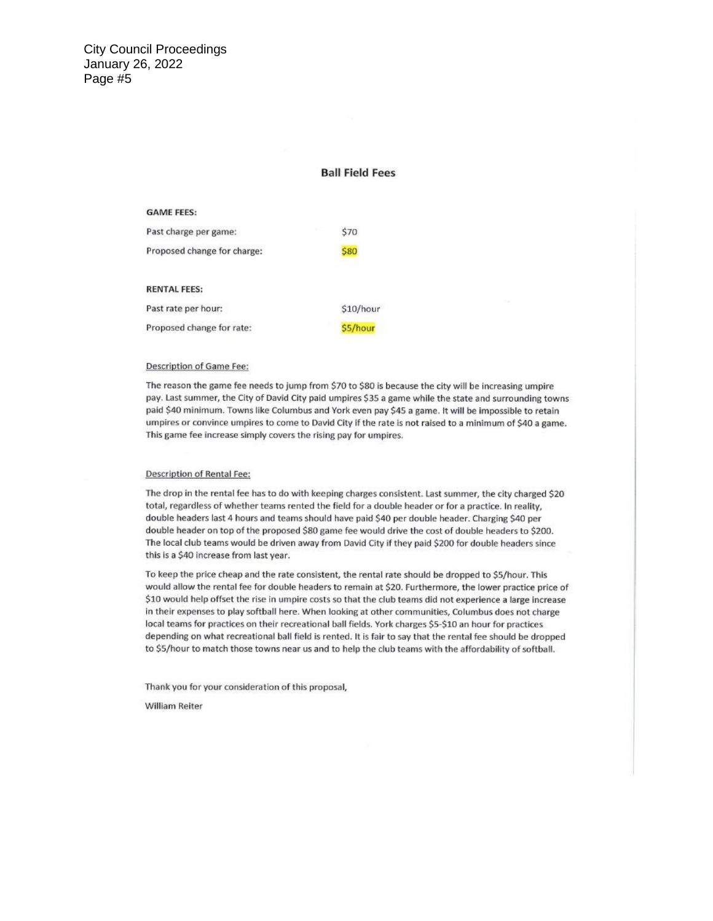#### **Ball Field Fees**

#### **GAME FEES:**

| Past charge per game:       | \$70        |
|-----------------------------|-------------|
| Proposed change for charge: | \$80        |
| <b>RENTAL FEES:</b>         |             |
| Past rate per hour:         | $$10/h$ our |
| Proposed change for rate:   | \$5/hour    |

#### Description of Game Fee:

The reason the game fee needs to jump from \$70 to \$80 is because the city will be increasing umpire pay. Last summer, the City of David City paid umpires \$35 a game while the state and surrounding towns paid \$40 minimum. Towns like Columbus and York even pay \$45 a game. It will be impossible to retain umpires or convince umpires to come to David City if the rate is not raised to a minimum of \$40 a game. This game fee increase simply covers the rising pay for umpires.

#### **Description of Rental Fee:**

The drop in the rental fee has to do with keeping charges consistent. Last summer, the city charged \$20 total, regardless of whether teams rented the field for a double header or for a practice. In reality, double headers last 4 hours and teams should have paid \$40 per double header. Charging \$40 per double header on top of the proposed \$80 game fee would drive the cost of double headers to \$200. The local club teams would be driven away from David City if they paid \$200 for double headers since this is a \$40 increase from last year.

To keep the price cheap and the rate consistent, the rental rate should be dropped to \$5/hour. This would allow the rental fee for double headers to remain at \$20. Furthermore, the lower practice price of \$10 would help offset the rise in umpire costs so that the club teams did not experience a large increase in their expenses to play softball here. When looking at other communities, Columbus does not charge local teams for practices on their recreational ball fields. York charges \$5-\$10 an hour for practices depending on what recreational ball field is rented. It is fair to say that the rental fee should be dropped to \$5/hour to match those towns near us and to help the club teams with the affordability of softball.

Thank you for your consideration of this proposal,

William Reiter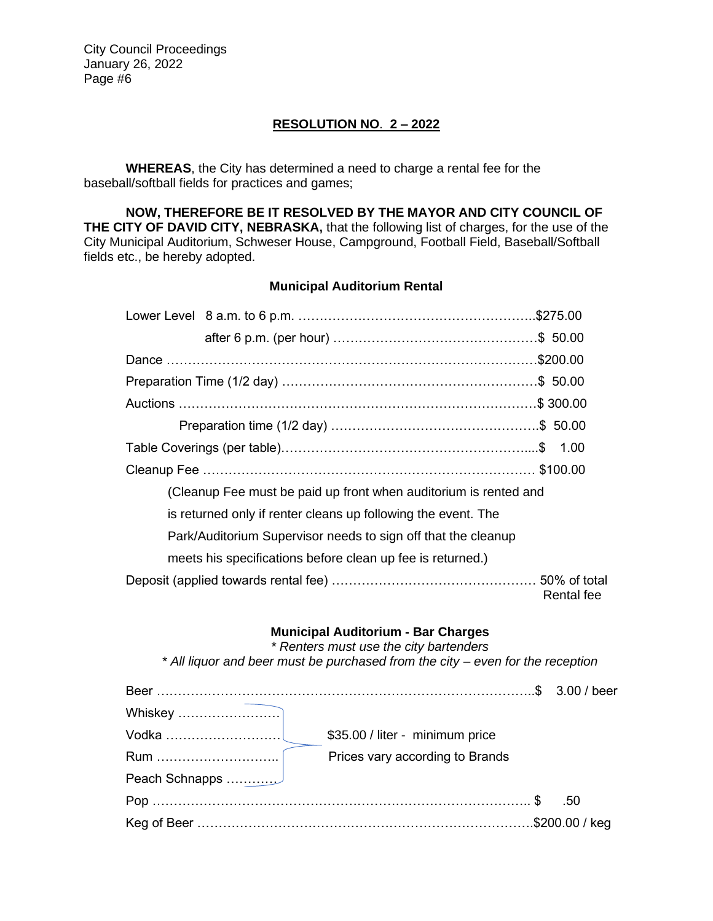# **RESOLUTION NO**. **2 – 2022**

**WHEREAS**, the City has determined a need to charge a rental fee for the baseball/softball fields for practices and games;

**NOW, THEREFORE BE IT RESOLVED BY THE MAYOR AND CITY COUNCIL OF THE CITY OF DAVID CITY, NEBRASKA,** that the following list of charges, for the use of the City Municipal Auditorium, Schweser House, Campground, Football Field, Baseball/Softball fields etc., be hereby adopted.

### **Municipal Auditorium Rental**

| (Cleanup Fee must be paid up front when auditorium is rented and |            |
|------------------------------------------------------------------|------------|
| is returned only if renter cleans up following the event. The    |            |
| Park/Auditorium Supervisor needs to sign off that the cleanup    |            |
| meets his specifications before clean up fee is returned.)       |            |
|                                                                  | Rental fee |

#### **Municipal Auditorium - Bar Charges**

*\* Renters must use the city bartenders*

*\* All liquor and beer must be purchased from the city – even for the reception*

| Vodka ……………………… | \$35.00 / liter - minimum price |     |
|-----------------|---------------------------------|-----|
|                 | Prices vary according to Brands |     |
| Peach Schnapps  |                                 |     |
|                 |                                 | .50 |
|                 |                                 |     |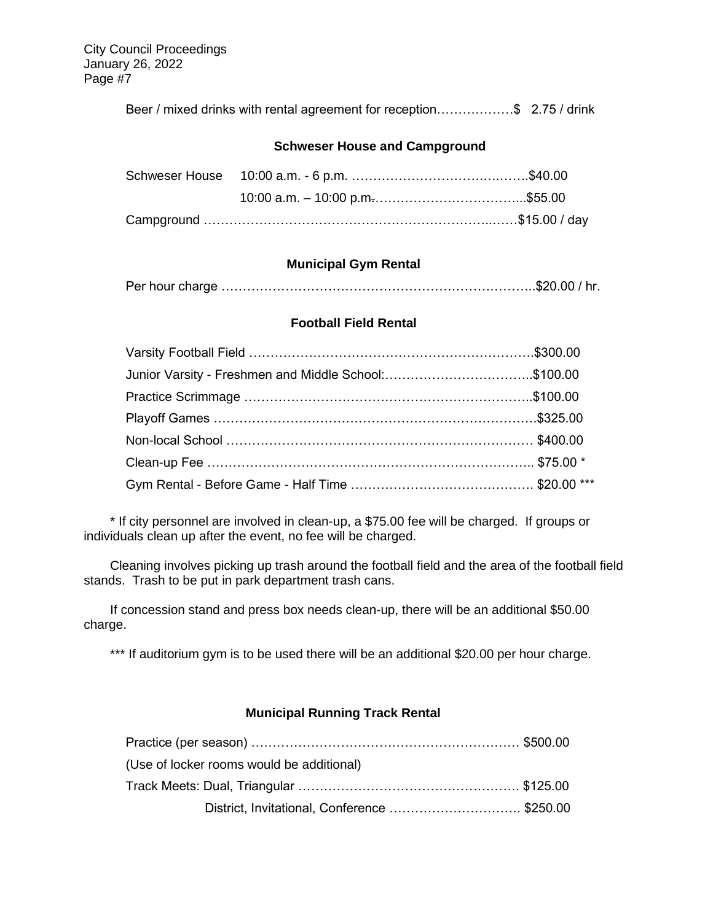Beer / mixed drinks with rental agreement for reception………………\$ 2.75 / drink

### **Schweser House and Campground**

## **Municipal Gym Rental**

|--|--|--|--|

### **Football Field Rental**

| Junior Varsity - Freshmen and Middle School:\$100.00 |  |
|------------------------------------------------------|--|
|                                                      |  |
|                                                      |  |
|                                                      |  |
|                                                      |  |
|                                                      |  |

\* If city personnel are involved in clean-up, a \$75.00 fee will be charged. If groups or individuals clean up after the event, no fee will be charged.

Cleaning involves picking up trash around the football field and the area of the football field stands. Trash to be put in park department trash cans.

If concession stand and press box needs clean-up, there will be an additional \$50.00 charge.

\*\*\* If auditorium gym is to be used there will be an additional \$20.00 per hour charge.

## **Municipal Running Track Rental**

| (Use of locker rooms would be additional)    |  |
|----------------------------------------------|--|
|                                              |  |
| District, Invitational, Conference  \$250.00 |  |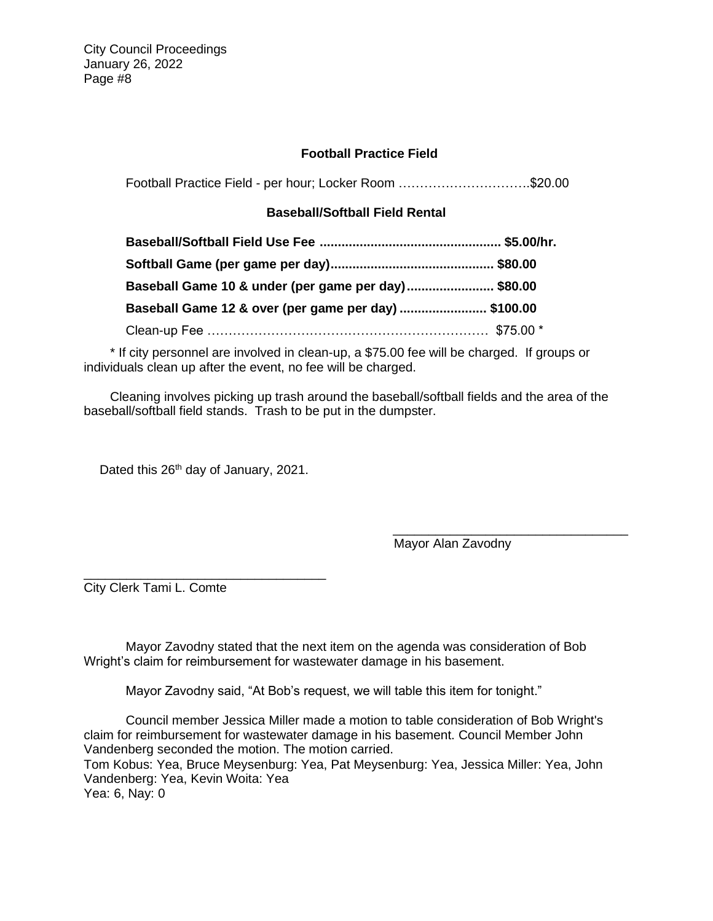## **Football Practice Field**

Football Practice Field - per hour; Locker Room ………………………….\$20.00

## **Baseball/Softball Field Rental**

| Baseball Game 10 & under (per game per day)\$80.00   |  |
|------------------------------------------------------|--|
| Baseball Game 12 & over (per game per day)  \$100.00 |  |
|                                                      |  |

\* If city personnel are involved in clean-up, a \$75.00 fee will be charged. If groups or individuals clean up after the event, no fee will be charged.

Cleaning involves picking up trash around the baseball/softball fields and the area of the baseball/softball field stands. Trash to be put in the dumpster.

Dated this 26<sup>th</sup> day of January, 2021.

\_\_\_\_\_\_\_\_\_\_\_\_\_\_\_\_\_\_\_\_\_\_\_\_\_\_\_\_\_\_\_\_\_\_

\_\_\_\_\_\_\_\_\_\_\_\_\_\_\_\_\_\_\_\_\_\_\_\_\_\_\_\_\_\_\_\_\_ Mayor Alan Zavodny

City Clerk Tami L. Comte

Mayor Zavodny stated that the next item on the agenda was consideration of Bob Wright's claim for reimbursement for wastewater damage in his basement.

Mayor Zavodny said, "At Bob's request, we will table this item for tonight."

Council member Jessica Miller made a motion to table consideration of Bob Wright's claim for reimbursement for wastewater damage in his basement. Council Member John Vandenberg seconded the motion. The motion carried. Tom Kobus: Yea, Bruce Meysenburg: Yea, Pat Meysenburg: Yea, Jessica Miller: Yea, John Vandenberg: Yea, Kevin Woita: Yea Yea: 6, Nay: 0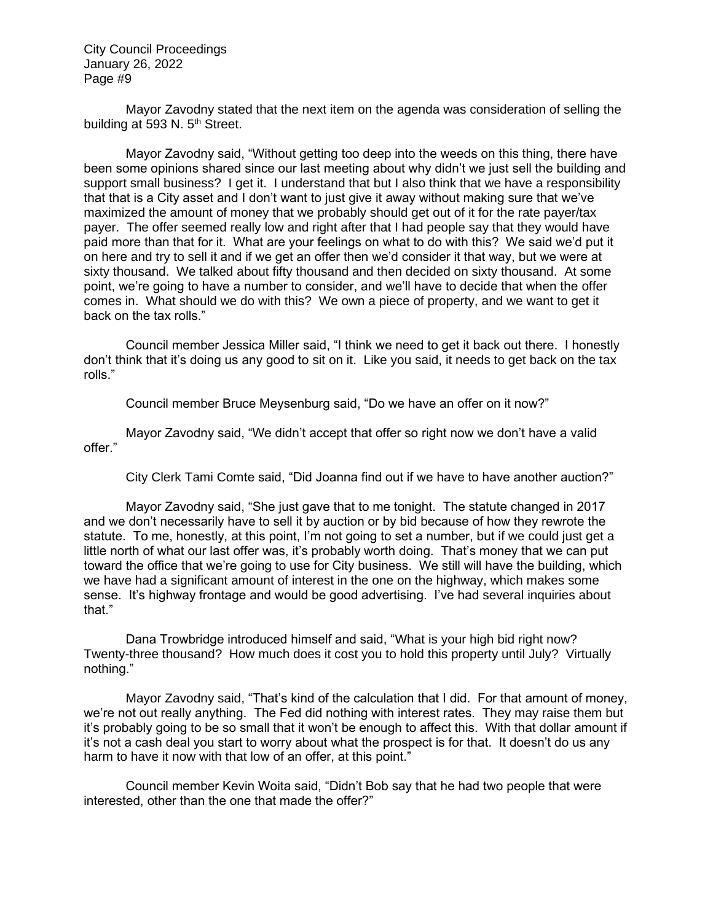Mayor Zavodny stated that the next item on the agenda was consideration of selling the building at 593 N.  $5<sup>th</sup>$  Street.

Mayor Zavodny said, "Without getting too deep into the weeds on this thing, there have been some opinions shared since our last meeting about why didn't we just sell the building and support small business? I get it. I understand that but I also think that we have a responsibility that that is a City asset and I don't want to just give it away without making sure that we've maximized the amount of money that we probably should get out of it for the rate payer/tax payer. The offer seemed really low and right after that I had people say that they would have paid more than that for it. What are your feelings on what to do with this? We said we'd put it on here and try to sell it and if we get an offer then we'd consider it that way, but we were at sixty thousand. We talked about fifty thousand and then decided on sixty thousand. At some point, we're going to have a number to consider, and we'll have to decide that when the offer comes in. What should we do with this? We own a piece of property, and we want to get it back on the tax rolls."

Council member Jessica Miller said, "I think we need to get it back out there. I honestly don't think that it's doing us any good to sit on it. Like you said, it needs to get back on the tax rolls."

Council member Bruce Meysenburg said, "Do we have an offer on it now?"

Mayor Zavodny said, "We didn't accept that offer so right now we don't have a valid offer."

City Clerk Tami Comte said, "Did Joanna find out if we have to have another auction?"

Mayor Zavodny said, "She just gave that to me tonight. The statute changed in 2017 and we don't necessarily have to sell it by auction or by bid because of how they rewrote the statute. To me, honestly, at this point, I'm not going to set a number, but if we could just get a little north of what our last offer was, it's probably worth doing. That's money that we can put toward the office that we're going to use for City business. We still will have the building, which we have had a significant amount of interest in the one on the highway, which makes some sense. It's highway frontage and would be good advertising. I've had several inquiries about that."

Dana Trowbridge introduced himself and said, "What is your high bid right now? Twenty-three thousand? How much does it cost you to hold this property until July? Virtually nothing."

Mayor Zavodny said, "That's kind of the calculation that I did. For that amount of money, we're not out really anything. The Fed did nothing with interest rates. They may raise them but it's probably going to be so small that it won't be enough to affect this. With that dollar amount if it's not a cash deal you start to worry about what the prospect is for that. It doesn't do us any harm to have it now with that low of an offer, at this point."

Council member Kevin Woita said, "Didn't Bob say that he had two people that were interested, other than the one that made the offer?"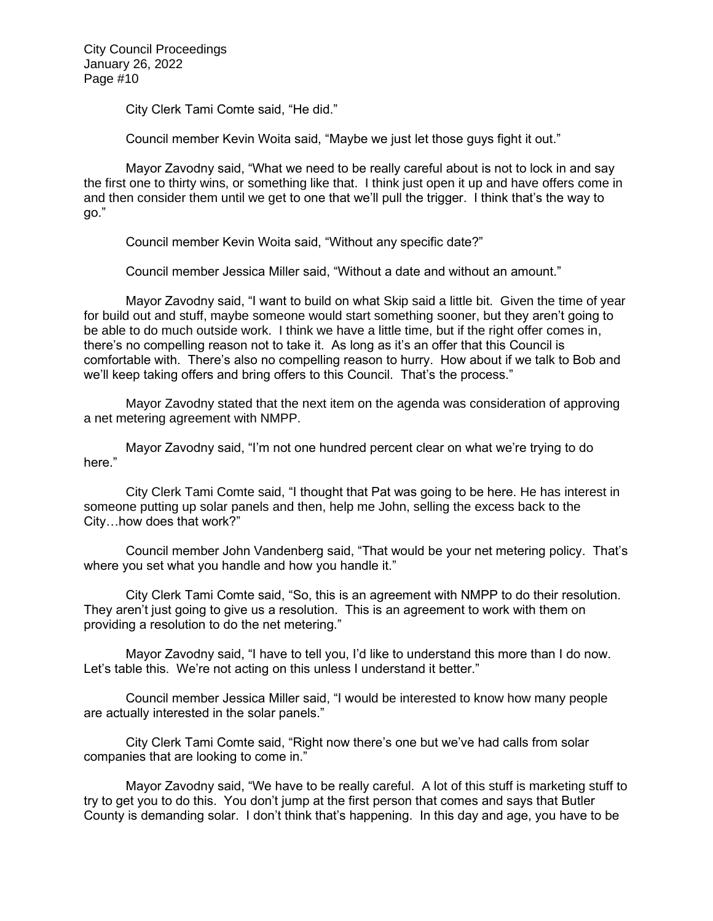City Clerk Tami Comte said, "He did."

Council member Kevin Woita said, "Maybe we just let those guys fight it out."

Mayor Zavodny said, "What we need to be really careful about is not to lock in and say the first one to thirty wins, or something like that. I think just open it up and have offers come in and then consider them until we get to one that we'll pull the trigger. I think that's the way to go."

Council member Kevin Woita said, "Without any specific date?"

Council member Jessica Miller said, "Without a date and without an amount."

Mayor Zavodny said, "I want to build on what Skip said a little bit. Given the time of year for build out and stuff, maybe someone would start something sooner, but they aren't going to be able to do much outside work. I think we have a little time, but if the right offer comes in, there's no compelling reason not to take it. As long as it's an offer that this Council is comfortable with. There's also no compelling reason to hurry. How about if we talk to Bob and we'll keep taking offers and bring offers to this Council. That's the process."

Mayor Zavodny stated that the next item on the agenda was consideration of approving a net metering agreement with NMPP.

Mayor Zavodny said, "I'm not one hundred percent clear on what we're trying to do here."

City Clerk Tami Comte said, "I thought that Pat was going to be here. He has interest in someone putting up solar panels and then, help me John, selling the excess back to the City…how does that work?"

Council member John Vandenberg said, "That would be your net metering policy. That's where you set what you handle and how you handle it."

City Clerk Tami Comte said, "So, this is an agreement with NMPP to do their resolution. They aren't just going to give us a resolution. This is an agreement to work with them on providing a resolution to do the net metering."

Mayor Zavodny said, "I have to tell you, I'd like to understand this more than I do now. Let's table this. We're not acting on this unless I understand it better."

Council member Jessica Miller said, "I would be interested to know how many people are actually interested in the solar panels."

City Clerk Tami Comte said, "Right now there's one but we've had calls from solar companies that are looking to come in."

Mayor Zavodny said, "We have to be really careful. A lot of this stuff is marketing stuff to try to get you to do this. You don't jump at the first person that comes and says that Butler County is demanding solar. I don't think that's happening. In this day and age, you have to be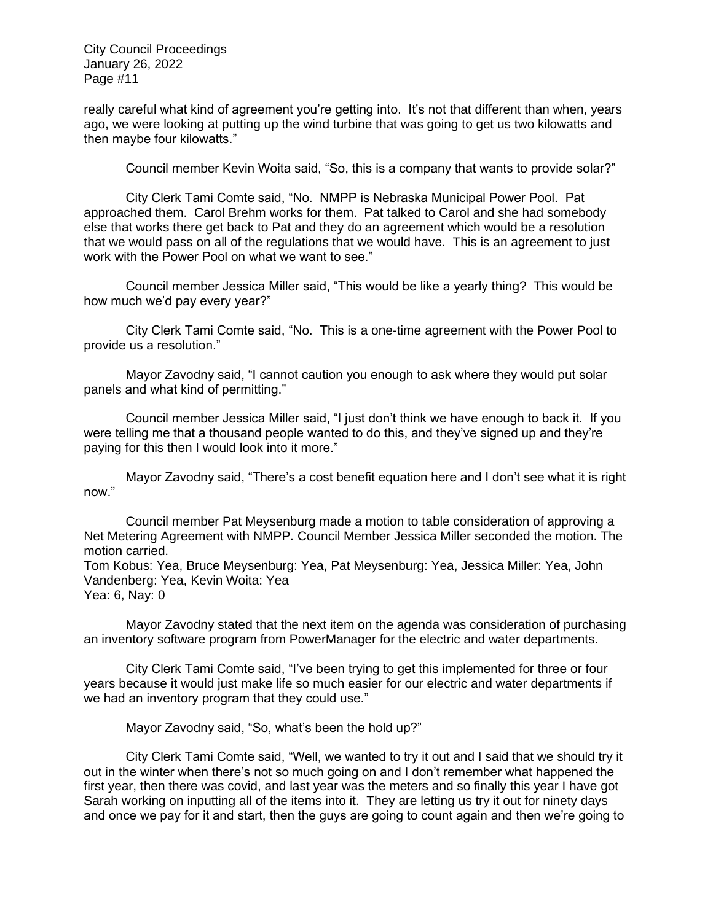really careful what kind of agreement you're getting into. It's not that different than when, years ago, we were looking at putting up the wind turbine that was going to get us two kilowatts and then maybe four kilowatts."

Council member Kevin Woita said, "So, this is a company that wants to provide solar?"

City Clerk Tami Comte said, "No. NMPP is Nebraska Municipal Power Pool. Pat approached them. Carol Brehm works for them. Pat talked to Carol and she had somebody else that works there get back to Pat and they do an agreement which would be a resolution that we would pass on all of the regulations that we would have. This is an agreement to just work with the Power Pool on what we want to see."

Council member Jessica Miller said, "This would be like a yearly thing? This would be how much we'd pay every year?"

City Clerk Tami Comte said, "No. This is a one-time agreement with the Power Pool to provide us a resolution."

Mayor Zavodny said, "I cannot caution you enough to ask where they would put solar panels and what kind of permitting."

Council member Jessica Miller said, "I just don't think we have enough to back it. If you were telling me that a thousand people wanted to do this, and they've signed up and they're paying for this then I would look into it more."

Mayor Zavodny said, "There's a cost benefit equation here and I don't see what it is right now."

Council member Pat Meysenburg made a motion to table consideration of approving a Net Metering Agreement with NMPP. Council Member Jessica Miller seconded the motion. The motion carried.

Tom Kobus: Yea, Bruce Meysenburg: Yea, Pat Meysenburg: Yea, Jessica Miller: Yea, John Vandenberg: Yea, Kevin Woita: Yea Yea: 6, Nay: 0

Mayor Zavodny stated that the next item on the agenda was consideration of purchasing an inventory software program from PowerManager for the electric and water departments.

City Clerk Tami Comte said, "I've been trying to get this implemented for three or four years because it would just make life so much easier for our electric and water departments if we had an inventory program that they could use."

Mayor Zavodny said, "So, what's been the hold up?"

City Clerk Tami Comte said, "Well, we wanted to try it out and I said that we should try it out in the winter when there's not so much going on and I don't remember what happened the first year, then there was covid, and last year was the meters and so finally this year I have got Sarah working on inputting all of the items into it. They are letting us try it out for ninety days and once we pay for it and start, then the guys are going to count again and then we're going to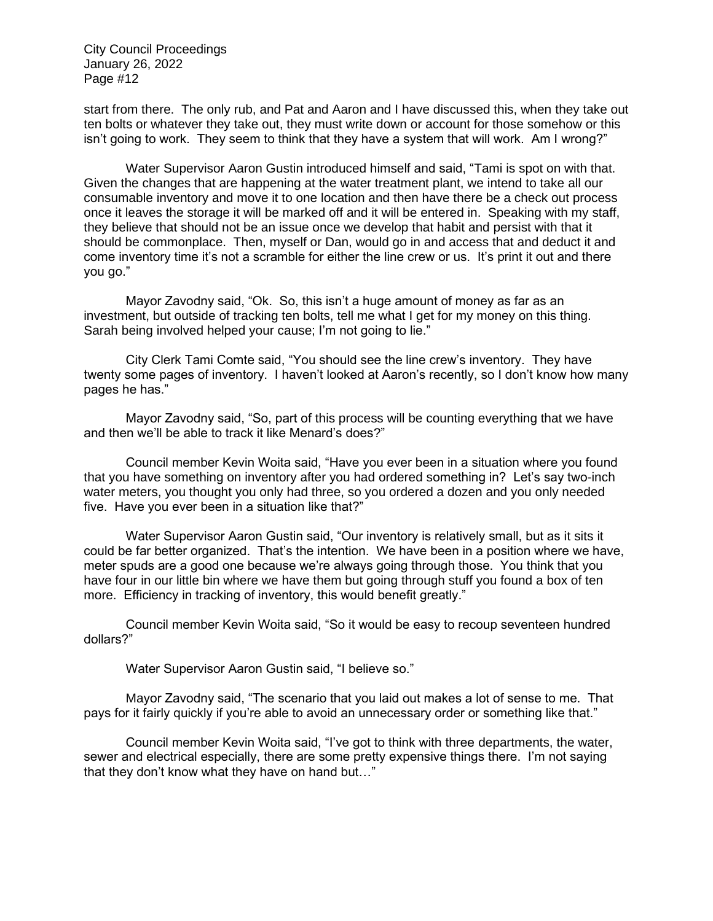start from there. The only rub, and Pat and Aaron and I have discussed this, when they take out ten bolts or whatever they take out, they must write down or account for those somehow or this isn't going to work. They seem to think that they have a system that will work. Am I wrong?"

Water Supervisor Aaron Gustin introduced himself and said, "Tami is spot on with that. Given the changes that are happening at the water treatment plant, we intend to take all our consumable inventory and move it to one location and then have there be a check out process once it leaves the storage it will be marked off and it will be entered in. Speaking with my staff, they believe that should not be an issue once we develop that habit and persist with that it should be commonplace. Then, myself or Dan, would go in and access that and deduct it and come inventory time it's not a scramble for either the line crew or us. It's print it out and there you go."

Mayor Zavodny said, "Ok. So, this isn't a huge amount of money as far as an investment, but outside of tracking ten bolts, tell me what I get for my money on this thing. Sarah being involved helped your cause; I'm not going to lie."

City Clerk Tami Comte said, "You should see the line crew's inventory. They have twenty some pages of inventory. I haven't looked at Aaron's recently, so I don't know how many pages he has."

Mayor Zavodny said, "So, part of this process will be counting everything that we have and then we'll be able to track it like Menard's does?"

Council member Kevin Woita said, "Have you ever been in a situation where you found that you have something on inventory after you had ordered something in? Let's say two-inch water meters, you thought you only had three, so you ordered a dozen and you only needed five. Have you ever been in a situation like that?"

Water Supervisor Aaron Gustin said, "Our inventory is relatively small, but as it sits it could be far better organized. That's the intention. We have been in a position where we have, meter spuds are a good one because we're always going through those. You think that you have four in our little bin where we have them but going through stuff you found a box of ten more. Efficiency in tracking of inventory, this would benefit greatly."

Council member Kevin Woita said, "So it would be easy to recoup seventeen hundred dollars?"

Water Supervisor Aaron Gustin said, "I believe so."

Mayor Zavodny said, "The scenario that you laid out makes a lot of sense to me. That pays for it fairly quickly if you're able to avoid an unnecessary order or something like that."

Council member Kevin Woita said, "I've got to think with three departments, the water, sewer and electrical especially, there are some pretty expensive things there. I'm not saying that they don't know what they have on hand but…"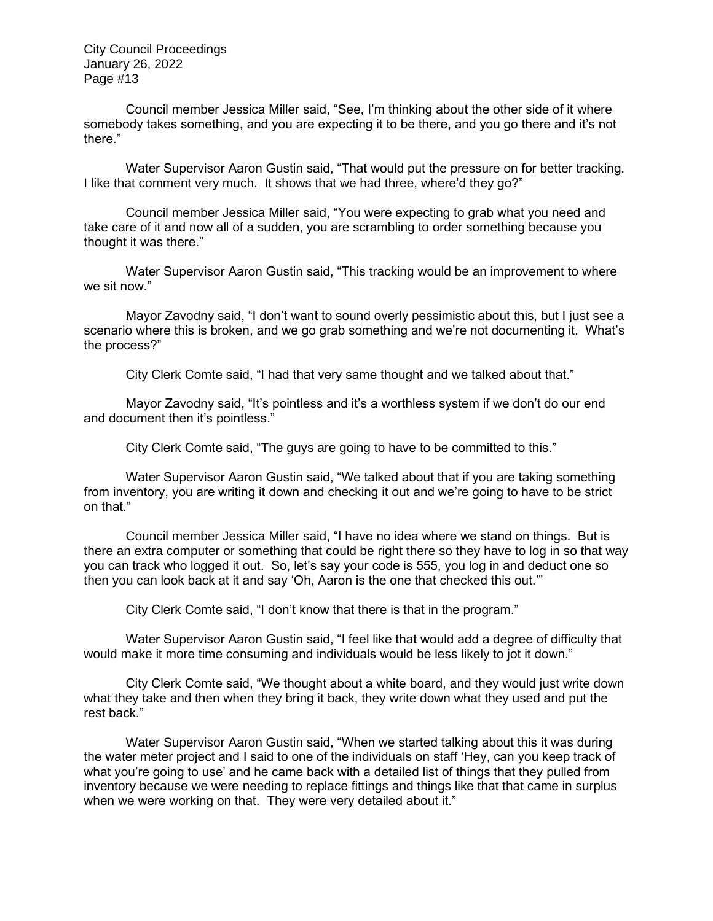Council member Jessica Miller said, "See, I'm thinking about the other side of it where somebody takes something, and you are expecting it to be there, and you go there and it's not there."

Water Supervisor Aaron Gustin said, "That would put the pressure on for better tracking. I like that comment very much. It shows that we had three, where'd they go?"

Council member Jessica Miller said, "You were expecting to grab what you need and take care of it and now all of a sudden, you are scrambling to order something because you thought it was there."

Water Supervisor Aaron Gustin said, "This tracking would be an improvement to where we sit now."

Mayor Zavodny said, "I don't want to sound overly pessimistic about this, but I just see a scenario where this is broken, and we go grab something and we're not documenting it. What's the process?"

City Clerk Comte said, "I had that very same thought and we talked about that."

Mayor Zavodny said, "It's pointless and it's a worthless system if we don't do our end and document then it's pointless."

City Clerk Comte said, "The guys are going to have to be committed to this."

Water Supervisor Aaron Gustin said, "We talked about that if you are taking something from inventory, you are writing it down and checking it out and we're going to have to be strict on that."

Council member Jessica Miller said, "I have no idea where we stand on things. But is there an extra computer or something that could be right there so they have to log in so that way you can track who logged it out. So, let's say your code is 555, you log in and deduct one so then you can look back at it and say 'Oh, Aaron is the one that checked this out.'"

City Clerk Comte said, "I don't know that there is that in the program."

Water Supervisor Aaron Gustin said, "I feel like that would add a degree of difficulty that would make it more time consuming and individuals would be less likely to jot it down."

City Clerk Comte said, "We thought about a white board, and they would just write down what they take and then when they bring it back, they write down what they used and put the rest back."

Water Supervisor Aaron Gustin said, "When we started talking about this it was during the water meter project and I said to one of the individuals on staff 'Hey, can you keep track of what you're going to use' and he came back with a detailed list of things that they pulled from inventory because we were needing to replace fittings and things like that that came in surplus when we were working on that. They were very detailed about it."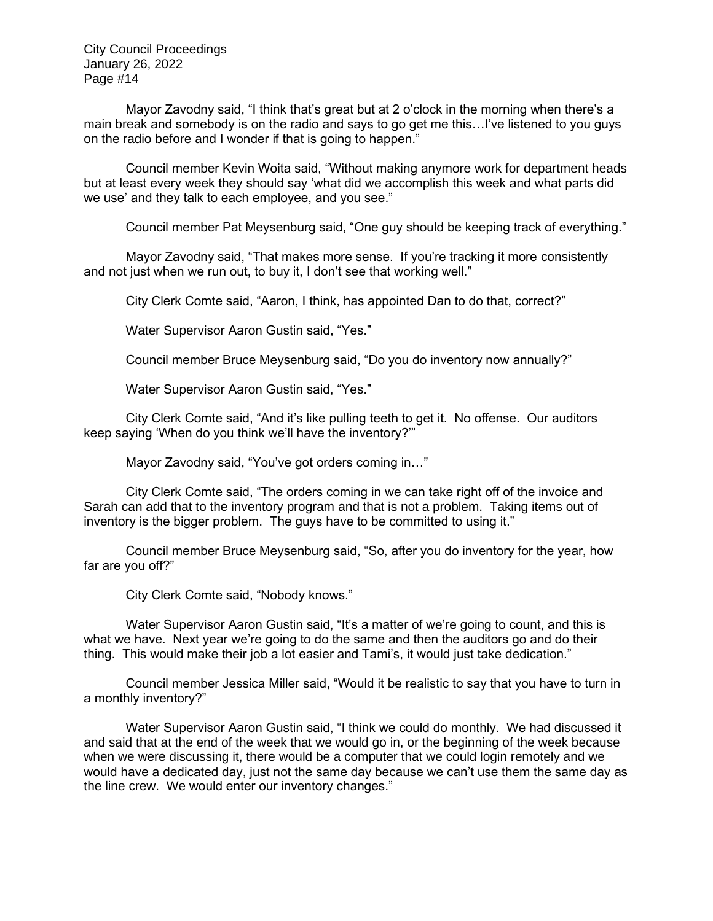Mayor Zavodny said, "I think that's great but at 2 o'clock in the morning when there's a main break and somebody is on the radio and says to go get me this…I've listened to you guys on the radio before and I wonder if that is going to happen."

Council member Kevin Woita said, "Without making anymore work for department heads but at least every week they should say 'what did we accomplish this week and what parts did we use' and they talk to each employee, and you see."

Council member Pat Meysenburg said, "One guy should be keeping track of everything."

Mayor Zavodny said, "That makes more sense. If you're tracking it more consistently and not just when we run out, to buy it, I don't see that working well."

City Clerk Comte said, "Aaron, I think, has appointed Dan to do that, correct?"

Water Supervisor Aaron Gustin said, "Yes."

Council member Bruce Meysenburg said, "Do you do inventory now annually?"

Water Supervisor Aaron Gustin said, "Yes."

City Clerk Comte said, "And it's like pulling teeth to get it. No offense. Our auditors keep saying 'When do you think we'll have the inventory?'"

Mayor Zavodny said, "You've got orders coming in…"

City Clerk Comte said, "The orders coming in we can take right off of the invoice and Sarah can add that to the inventory program and that is not a problem. Taking items out of inventory is the bigger problem. The guys have to be committed to using it."

Council member Bruce Meysenburg said, "So, after you do inventory for the year, how far are you off?"

City Clerk Comte said, "Nobody knows."

Water Supervisor Aaron Gustin said, "It's a matter of we're going to count, and this is what we have. Next year we're going to do the same and then the auditors go and do their thing. This would make their job a lot easier and Tami's, it would just take dedication."

Council member Jessica Miller said, "Would it be realistic to say that you have to turn in a monthly inventory?"

Water Supervisor Aaron Gustin said, "I think we could do monthly. We had discussed it and said that at the end of the week that we would go in, or the beginning of the week because when we were discussing it, there would be a computer that we could login remotely and we would have a dedicated day, just not the same day because we can't use them the same day as the line crew. We would enter our inventory changes."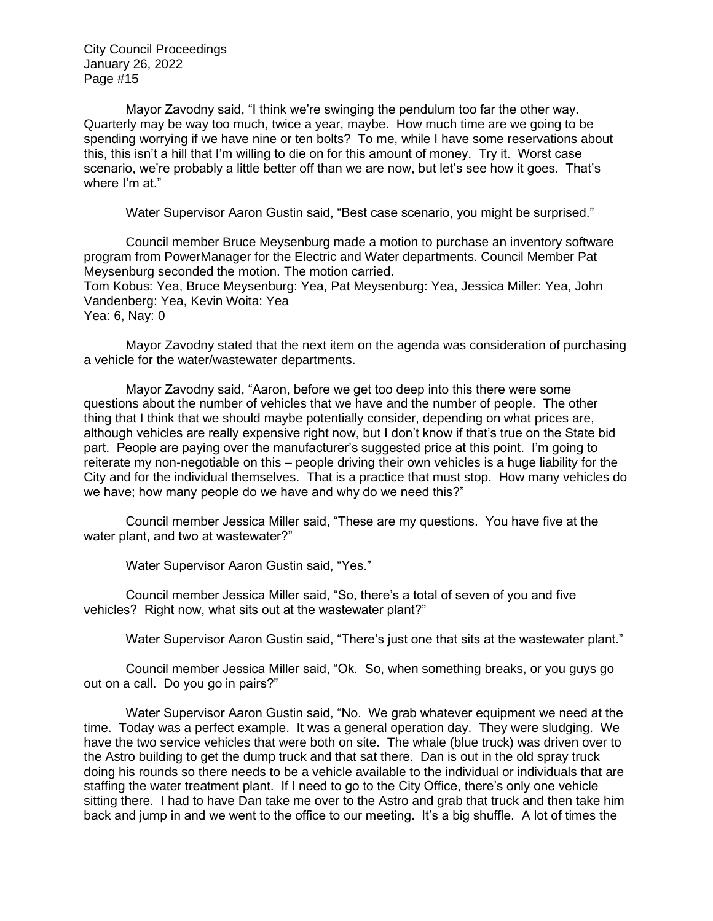Mayor Zavodny said, "I think we're swinging the pendulum too far the other way. Quarterly may be way too much, twice a year, maybe. How much time are we going to be spending worrying if we have nine or ten bolts? To me, while I have some reservations about this, this isn't a hill that I'm willing to die on for this amount of money. Try it. Worst case scenario, we're probably a little better off than we are now, but let's see how it goes. That's where I'm at."

Water Supervisor Aaron Gustin said, "Best case scenario, you might be surprised."

Council member Bruce Meysenburg made a motion to purchase an inventory software program from PowerManager for the Electric and Water departments. Council Member Pat Meysenburg seconded the motion. The motion carried.

Tom Kobus: Yea, Bruce Meysenburg: Yea, Pat Meysenburg: Yea, Jessica Miller: Yea, John Vandenberg: Yea, Kevin Woita: Yea

Yea: 6, Nay: 0

Mayor Zavodny stated that the next item on the agenda was consideration of purchasing a vehicle for the water/wastewater departments.

Mayor Zavodny said, "Aaron, before we get too deep into this there were some questions about the number of vehicles that we have and the number of people. The other thing that I think that we should maybe potentially consider, depending on what prices are, although vehicles are really expensive right now, but I don't know if that's true on the State bid part. People are paying over the manufacturer's suggested price at this point. I'm going to reiterate my non-negotiable on this – people driving their own vehicles is a huge liability for the City and for the individual themselves. That is a practice that must stop. How many vehicles do we have; how many people do we have and why do we need this?"

Council member Jessica Miller said, "These are my questions. You have five at the water plant, and two at wastewater?"

Water Supervisor Aaron Gustin said, "Yes."

Council member Jessica Miller said, "So, there's a total of seven of you and five vehicles? Right now, what sits out at the wastewater plant?"

Water Supervisor Aaron Gustin said, "There's just one that sits at the wastewater plant."

Council member Jessica Miller said, "Ok. So, when something breaks, or you guys go out on a call. Do you go in pairs?"

Water Supervisor Aaron Gustin said, "No. We grab whatever equipment we need at the time. Today was a perfect example. It was a general operation day. They were sludging. We have the two service vehicles that were both on site. The whale (blue truck) was driven over to the Astro building to get the dump truck and that sat there. Dan is out in the old spray truck doing his rounds so there needs to be a vehicle available to the individual or individuals that are staffing the water treatment plant. If I need to go to the City Office, there's only one vehicle sitting there. I had to have Dan take me over to the Astro and grab that truck and then take him back and jump in and we went to the office to our meeting. It's a big shuffle. A lot of times the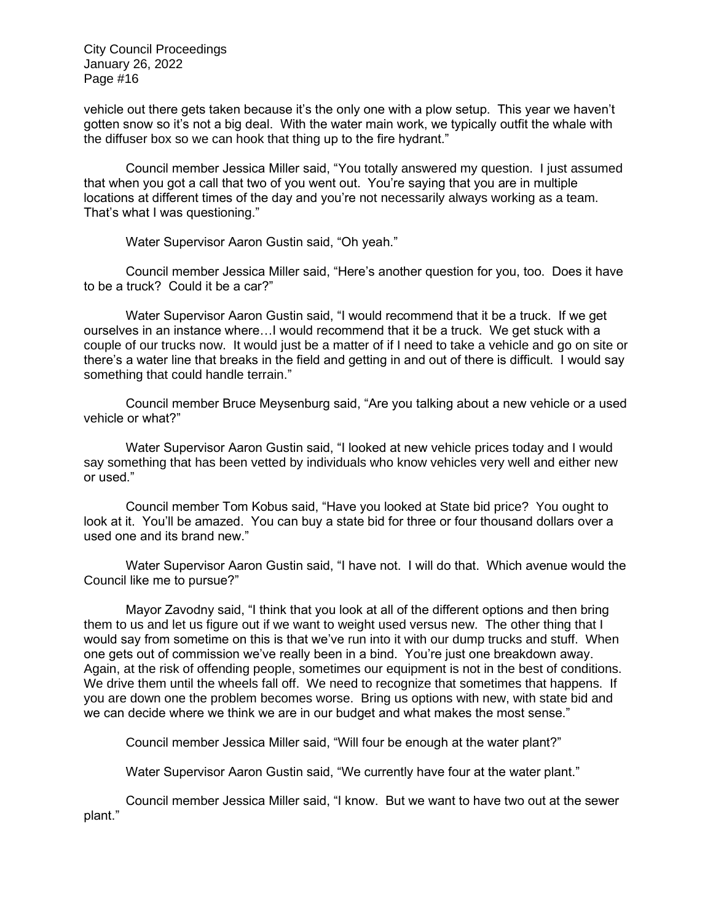vehicle out there gets taken because it's the only one with a plow setup. This year we haven't gotten snow so it's not a big deal. With the water main work, we typically outfit the whale with the diffuser box so we can hook that thing up to the fire hydrant."

Council member Jessica Miller said, "You totally answered my question. I just assumed that when you got a call that two of you went out. You're saying that you are in multiple locations at different times of the day and you're not necessarily always working as a team. That's what I was questioning."

Water Supervisor Aaron Gustin said, "Oh yeah."

Council member Jessica Miller said, "Here's another question for you, too. Does it have to be a truck? Could it be a car?"

Water Supervisor Aaron Gustin said, "I would recommend that it be a truck. If we get ourselves in an instance where…I would recommend that it be a truck. We get stuck with a couple of our trucks now. It would just be a matter of if I need to take a vehicle and go on site or there's a water line that breaks in the field and getting in and out of there is difficult. I would say something that could handle terrain."

Council member Bruce Meysenburg said, "Are you talking about a new vehicle or a used vehicle or what?"

Water Supervisor Aaron Gustin said, "I looked at new vehicle prices today and I would say something that has been vetted by individuals who know vehicles very well and either new or used."

Council member Tom Kobus said, "Have you looked at State bid price? You ought to look at it. You'll be amazed. You can buy a state bid for three or four thousand dollars over a used one and its brand new."

Water Supervisor Aaron Gustin said, "I have not. I will do that. Which avenue would the Council like me to pursue?"

Mayor Zavodny said, "I think that you look at all of the different options and then bring them to us and let us figure out if we want to weight used versus new. The other thing that I would say from sometime on this is that we've run into it with our dump trucks and stuff. When one gets out of commission we've really been in a bind. You're just one breakdown away. Again, at the risk of offending people, sometimes our equipment is not in the best of conditions. We drive them until the wheels fall off. We need to recognize that sometimes that happens. If you are down one the problem becomes worse. Bring us options with new, with state bid and we can decide where we think we are in our budget and what makes the most sense."

Council member Jessica Miller said, "Will four be enough at the water plant?"

Water Supervisor Aaron Gustin said, "We currently have four at the water plant."

Council member Jessica Miller said, "I know. But we want to have two out at the sewer plant."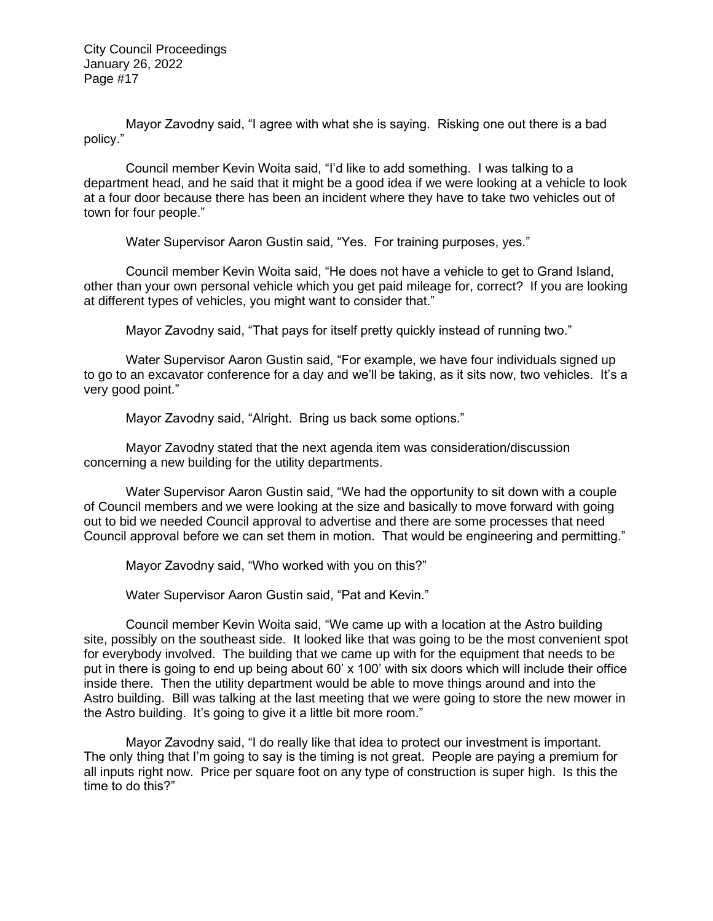Mayor Zavodny said, "I agree with what she is saying. Risking one out there is a bad policy."

Council member Kevin Woita said, "I'd like to add something. I was talking to a department head, and he said that it might be a good idea if we were looking at a vehicle to look at a four door because there has been an incident where they have to take two vehicles out of town for four people."

Water Supervisor Aaron Gustin said, "Yes. For training purposes, yes."

Council member Kevin Woita said, "He does not have a vehicle to get to Grand Island, other than your own personal vehicle which you get paid mileage for, correct? If you are looking at different types of vehicles, you might want to consider that."

Mayor Zavodny said, "That pays for itself pretty quickly instead of running two."

Water Supervisor Aaron Gustin said, "For example, we have four individuals signed up to go to an excavator conference for a day and we'll be taking, as it sits now, two vehicles. It's a very good point."

Mayor Zavodny said, "Alright. Bring us back some options."

Mayor Zavodny stated that the next agenda item was consideration/discussion concerning a new building for the utility departments.

Water Supervisor Aaron Gustin said, "We had the opportunity to sit down with a couple of Council members and we were looking at the size and basically to move forward with going out to bid we needed Council approval to advertise and there are some processes that need Council approval before we can set them in motion. That would be engineering and permitting."

Mayor Zavodny said, "Who worked with you on this?"

Water Supervisor Aaron Gustin said, "Pat and Kevin."

Council member Kevin Woita said, "We came up with a location at the Astro building site, possibly on the southeast side. It looked like that was going to be the most convenient spot for everybody involved. The building that we came up with for the equipment that needs to be put in there is going to end up being about 60' x 100' with six doors which will include their office inside there. Then the utility department would be able to move things around and into the Astro building. Bill was talking at the last meeting that we were going to store the new mower in the Astro building. It's going to give it a little bit more room."

Mayor Zavodny said, "I do really like that idea to protect our investment is important. The only thing that I'm going to say is the timing is not great. People are paying a premium for all inputs right now. Price per square foot on any type of construction is super high. Is this the time to do this?"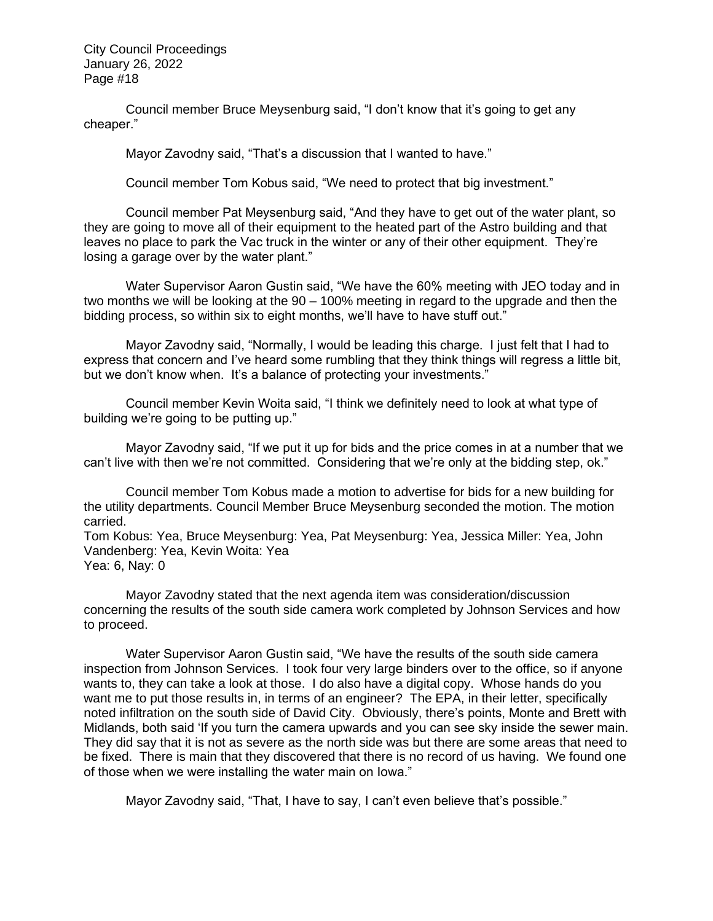Council member Bruce Meysenburg said, "I don't know that it's going to get any cheaper."

Mayor Zavodny said, "That's a discussion that I wanted to have."

Council member Tom Kobus said, "We need to protect that big investment."

Council member Pat Meysenburg said, "And they have to get out of the water plant, so they are going to move all of their equipment to the heated part of the Astro building and that leaves no place to park the Vac truck in the winter or any of their other equipment. They're losing a garage over by the water plant."

Water Supervisor Aaron Gustin said, "We have the 60% meeting with JEO today and in two months we will be looking at the 90 – 100% meeting in regard to the upgrade and then the bidding process, so within six to eight months, we'll have to have stuff out."

Mayor Zavodny said, "Normally, I would be leading this charge. I just felt that I had to express that concern and I've heard some rumbling that they think things will regress a little bit, but we don't know when. It's a balance of protecting your investments."

Council member Kevin Woita said, "I think we definitely need to look at what type of building we're going to be putting up."

Mayor Zavodny said, "If we put it up for bids and the price comes in at a number that we can't live with then we're not committed. Considering that we're only at the bidding step, ok."

Council member Tom Kobus made a motion to advertise for bids for a new building for the utility departments. Council Member Bruce Meysenburg seconded the motion. The motion carried.

Tom Kobus: Yea, Bruce Meysenburg: Yea, Pat Meysenburg: Yea, Jessica Miller: Yea, John Vandenberg: Yea, Kevin Woita: Yea

Yea: 6, Nay: 0

Mayor Zavodny stated that the next agenda item was consideration/discussion concerning the results of the south side camera work completed by Johnson Services and how to proceed.

Water Supervisor Aaron Gustin said, "We have the results of the south side camera inspection from Johnson Services. I took four very large binders over to the office, so if anyone wants to, they can take a look at those. I do also have a digital copy. Whose hands do you want me to put those results in, in terms of an engineer? The EPA, in their letter, specifically noted infiltration on the south side of David City. Obviously, there's points, Monte and Brett with Midlands, both said 'If you turn the camera upwards and you can see sky inside the sewer main. They did say that it is not as severe as the north side was but there are some areas that need to be fixed. There is main that they discovered that there is no record of us having. We found one of those when we were installing the water main on Iowa."

Mayor Zavodny said, "That, I have to say, I can't even believe that's possible."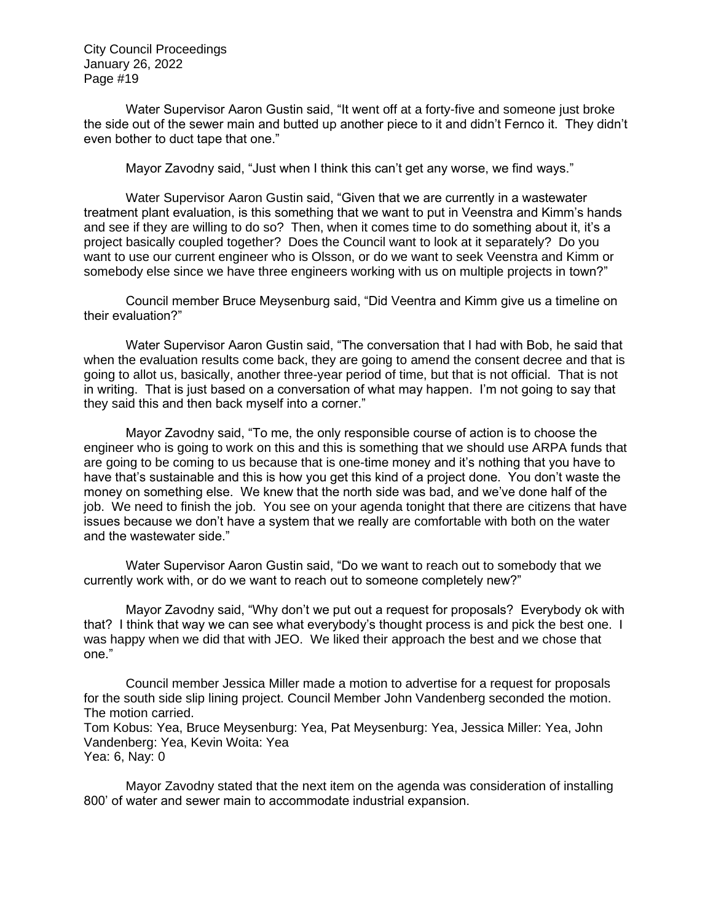Water Supervisor Aaron Gustin said, "It went off at a forty-five and someone just broke the side out of the sewer main and butted up another piece to it and didn't Fernco it. They didn't even bother to duct tape that one."

Mayor Zavodny said, "Just when I think this can't get any worse, we find ways."

Water Supervisor Aaron Gustin said, "Given that we are currently in a wastewater treatment plant evaluation, is this something that we want to put in Veenstra and Kimm's hands and see if they are willing to do so? Then, when it comes time to do something about it, it's a project basically coupled together? Does the Council want to look at it separately? Do you want to use our current engineer who is Olsson, or do we want to seek Veenstra and Kimm or somebody else since we have three engineers working with us on multiple projects in town?"

Council member Bruce Meysenburg said, "Did Veentra and Kimm give us a timeline on their evaluation?"

Water Supervisor Aaron Gustin said, "The conversation that I had with Bob, he said that when the evaluation results come back, they are going to amend the consent decree and that is going to allot us, basically, another three-year period of time, but that is not official. That is not in writing. That is just based on a conversation of what may happen. I'm not going to say that they said this and then back myself into a corner."

Mayor Zavodny said, "To me, the only responsible course of action is to choose the engineer who is going to work on this and this is something that we should use ARPA funds that are going to be coming to us because that is one-time money and it's nothing that you have to have that's sustainable and this is how you get this kind of a project done. You don't waste the money on something else. We knew that the north side was bad, and we've done half of the job. We need to finish the job. You see on your agenda tonight that there are citizens that have issues because we don't have a system that we really are comfortable with both on the water and the wastewater side."

Water Supervisor Aaron Gustin said, "Do we want to reach out to somebody that we currently work with, or do we want to reach out to someone completely new?"

Mayor Zavodny said, "Why don't we put out a request for proposals? Everybody ok with that? I think that way we can see what everybody's thought process is and pick the best one. I was happy when we did that with JEO. We liked their approach the best and we chose that one."

Council member Jessica Miller made a motion to advertise for a request for proposals for the south side slip lining project. Council Member John Vandenberg seconded the motion. The motion carried.

Tom Kobus: Yea, Bruce Meysenburg: Yea, Pat Meysenburg: Yea, Jessica Miller: Yea, John Vandenberg: Yea, Kevin Woita: Yea

Yea: 6, Nay: 0

Mayor Zavodny stated that the next item on the agenda was consideration of installing 800' of water and sewer main to accommodate industrial expansion.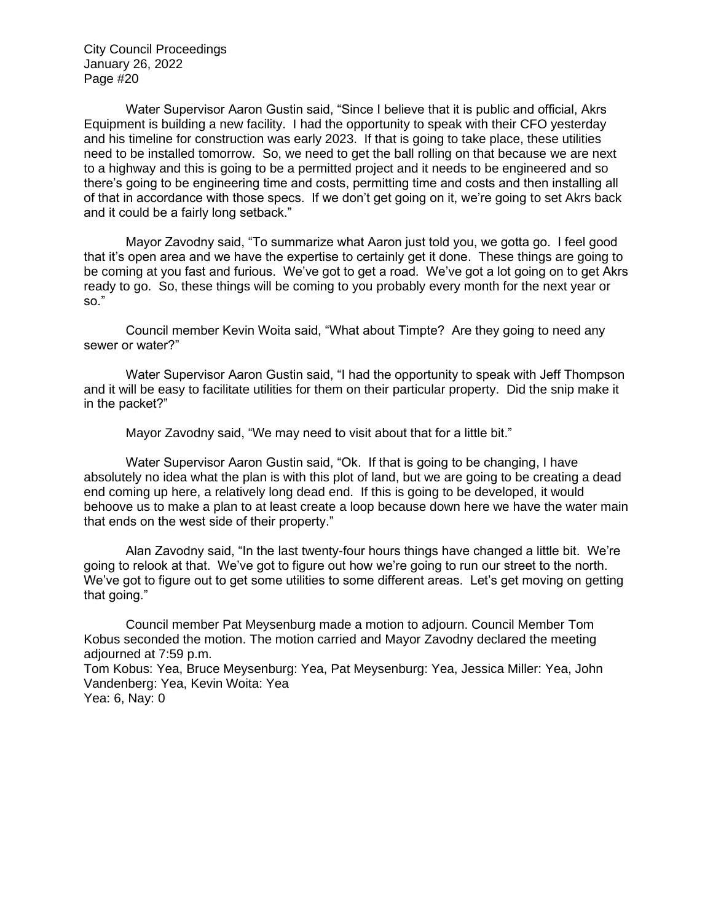Water Supervisor Aaron Gustin said, "Since I believe that it is public and official, Akrs Equipment is building a new facility. I had the opportunity to speak with their CFO yesterday and his timeline for construction was early 2023. If that is going to take place, these utilities need to be installed tomorrow. So, we need to get the ball rolling on that because we are next to a highway and this is going to be a permitted project and it needs to be engineered and so there's going to be engineering time and costs, permitting time and costs and then installing all of that in accordance with those specs. If we don't get going on it, we're going to set Akrs back and it could be a fairly long setback."

Mayor Zavodny said, "To summarize what Aaron just told you, we gotta go. I feel good that it's open area and we have the expertise to certainly get it done. These things are going to be coming at you fast and furious. We've got to get a road. We've got a lot going on to get Akrs ready to go. So, these things will be coming to you probably every month for the next year or so."

Council member Kevin Woita said, "What about Timpte? Are they going to need any sewer or water?"

Water Supervisor Aaron Gustin said, "I had the opportunity to speak with Jeff Thompson and it will be easy to facilitate utilities for them on their particular property. Did the snip make it in the packet?"

Mayor Zavodny said, "We may need to visit about that for a little bit."

Water Supervisor Aaron Gustin said, "Ok. If that is going to be changing, I have absolutely no idea what the plan is with this plot of land, but we are going to be creating a dead end coming up here, a relatively long dead end. If this is going to be developed, it would behoove us to make a plan to at least create a loop because down here we have the water main that ends on the west side of their property."

Alan Zavodny said, "In the last twenty-four hours things have changed a little bit. We're going to relook at that. We've got to figure out how we're going to run our street to the north. We've got to figure out to get some utilities to some different areas. Let's get moving on getting that going."

Council member Pat Meysenburg made a motion to adjourn. Council Member Tom Kobus seconded the motion. The motion carried and Mayor Zavodny declared the meeting adjourned at 7:59 p.m.

Tom Kobus: Yea, Bruce Meysenburg: Yea, Pat Meysenburg: Yea, Jessica Miller: Yea, John Vandenberg: Yea, Kevin Woita: Yea

Yea: 6, Nay: 0